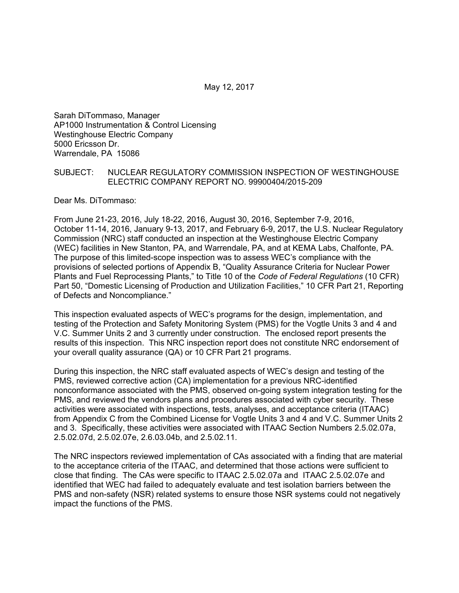May 12, 2017

Sarah DiTommaso, Manager AP1000 Instrumentation & Control Licensing Westinghouse Electric Company 5000 Ericsson Dr. Warrendale, PA 15086

#### SUBJECT: NUCLEAR REGULATORY COMMISSION INSPECTION OF WESTINGHOUSE ELECTRIC COMPANY REPORT NO. 99900404/2015-209

Dear Ms. DiTommaso:

From June 21-23, 2016, July 18-22, 2016, August 30, 2016, September 7-9, 2016, October 11-14, 2016, January 9-13, 2017, and February 6-9, 2017, the U.S. Nuclear Regulatory Commission (NRC) staff conducted an inspection at the Westinghouse Electric Company (WEC) facilities in New Stanton, PA, and Warrendale, PA, and at KEMA Labs, Chalfonte, PA. The purpose of this limited-scope inspection was to assess WEC's compliance with the provisions of selected portions of Appendix B, "Quality Assurance Criteria for Nuclear Power Plants and Fuel Reprocessing Plants," to Title 10 of the *Code of Federal Regulations* (10 CFR) Part 50, "Domestic Licensing of Production and Utilization Facilities," 10 CFR Part 21, Reporting of Defects and Noncompliance."

This inspection evaluated aspects of WEC's programs for the design, implementation, and testing of the Protection and Safety Monitoring System (PMS) for the Vogtle Units 3 and 4 and V.C. Summer Units 2 and 3 currently under construction. The enclosed report presents the results of this inspection. This NRC inspection report does not constitute NRC endorsement of your overall quality assurance (QA) or 10 CFR Part 21 programs.

During this inspection, the NRC staff evaluated aspects of WEC's design and testing of the PMS, reviewed corrective action (CA) implementation for a previous NRC-identified nonconformance associated with the PMS, observed on-going system integration testing for the PMS, and reviewed the vendors plans and procedures associated with cyber security. These activities were associated with inspections, tests, analyses, and acceptance criteria (ITAAC) from Appendix C from the Combined License for Vogtle Units 3 and 4 and V.C. Summer Units 2 and 3. Specifically, these activities were associated with ITAAC Section Numbers 2.5.02.07a, 2.5.02.07d, 2.5.02.07e, 2.6.03.04b, and 2.5.02.11.

The NRC inspectors reviewed implementation of CAs associated with a finding that are material to the acceptance criteria of the ITAAC, and determined that those actions were sufficient to close that finding. The CAs were specific to ITAAC 2.5.02.07a and ITAAC 2.5.02.07e and identified that WEC had failed to adequately evaluate and test isolation barriers between the PMS and non-safety (NSR) related systems to ensure those NSR systems could not negatively impact the functions of the PMS.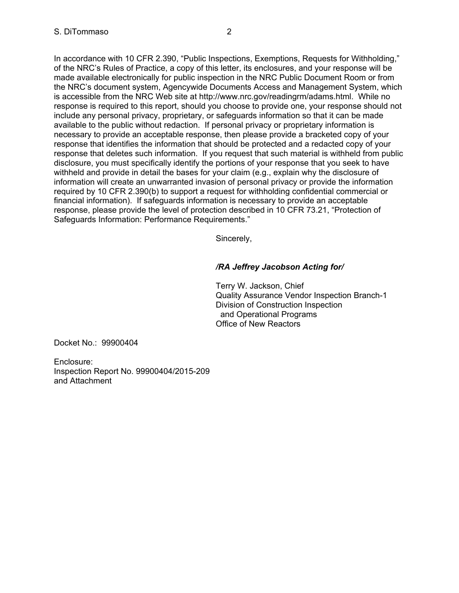In accordance with 10 CFR 2.390, "Public Inspections, Exemptions, Requests for Withholding," of the NRC's Rules of Practice, a copy of this letter, its enclosures, and your response will be made available electronically for public inspection in the NRC Public Document Room or from the NRC's document system, Agencywide Documents Access and Management System, which is accessible from the NRC Web site at http://www.nrc.gov/readingrm/adams.html. While no response is required to this report, should you choose to provide one, your response should not include any personal privacy, proprietary, or safeguards information so that it can be made available to the public without redaction. If personal privacy or proprietary information is necessary to provide an acceptable response, then please provide a bracketed copy of your response that identifies the information that should be protected and a redacted copy of your response that deletes such information. If you request that such material is withheld from public disclosure, you must specifically identify the portions of your response that you seek to have withheld and provide in detail the bases for your claim (e.g., explain why the disclosure of information will create an unwarranted invasion of personal privacy or provide the information required by 10 CFR 2.390(b) to support a request for withholding confidential commercial or financial information). If safeguards information is necessary to provide an acceptable response, please provide the level of protection described in 10 CFR 73.21, "Protection of Safeguards Information: Performance Requirements."

Sincerely,

# */RA Jeffrey Jacobson Acting for/*

Terry W. Jackson, Chief Quality Assurance Vendor Inspection Branch-1 Division of Construction Inspection and Operational Programs Office of New Reactors

Docket No.: 99900404

Enclosure: Inspection Report No. 99900404/2015-209 and Attachment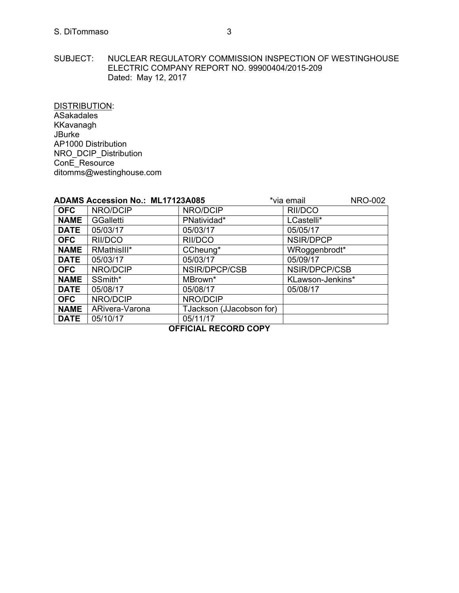SUBJECT: NUCLEAR REGULATORY COMMISSION INSPECTION OF WESTINGHOUSE ELECTRIC COMPANY REPORT NO. 99900404/2015-209 Dated: May 12, 2017

DISTRIBUTION:

ASakadales KKavanagh JBurke AP1000 Distribution NRO\_DCIP\_Distribution ConE\_Resource ditomms@westinghouse.com

|             | <b>ADAMS Accession No.: ML17123A085</b> |                          | *via email       | <b>NRO-002</b> |
|-------------|-----------------------------------------|--------------------------|------------------|----------------|
| <b>OFC</b>  | NRO/DCIP                                | NRO/DCIP                 | RII/DCO          |                |
| <b>NAME</b> | <b>GGalletti</b>                        | PNatividad*              | LCastelli*       |                |
| <b>DATE</b> | 05/03/17                                | 05/03/17                 | 05/05/17         |                |
| <b>OFC</b>  | RII/DCO                                 | RII/DCO                  | NSIR/DPCP        |                |
| <b>NAME</b> | RMathisIII*                             | CCheung*                 | WRoggenbrodt*    |                |
| <b>DATE</b> | 05/03/17                                | 05/03/17                 | 05/09/17         |                |
| <b>OFC</b>  | NRO/DCIP                                | NSIR/DPCP/CSB            | NSIR/DPCP/CSB    |                |
| <b>NAME</b> | SSmith*                                 | MBrown*                  | KLawson-Jenkins* |                |
| <b>DATE</b> | 05/08/17                                | 05/08/17                 | 05/08/17         |                |
| <b>OFC</b>  | NRO/DCIP                                | NRO/DCIP                 |                  |                |
| <b>NAME</b> | ARivera-Varona                          | TJackson (JJacobson for) |                  |                |
| <b>DATE</b> | 05/10/17                                | 05/11/17                 |                  |                |

**OFFICIAL RECORD COPY**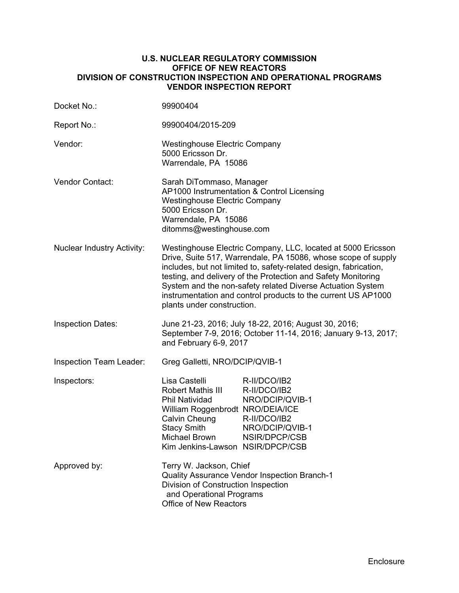## **U.S. NUCLEAR REGULATORY COMMISSION OFFICE OF NEW REACTORS DIVISION OF CONSTRUCTION INSPECTION AND OPERATIONAL PROGRAMS VENDOR INSPECTION REPORT**

| Docket No.:                                                                                                                                                                                 | 99900404                                                                                                                                                                                                                                                                                                                                                                                                                         |  |  |
|---------------------------------------------------------------------------------------------------------------------------------------------------------------------------------------------|----------------------------------------------------------------------------------------------------------------------------------------------------------------------------------------------------------------------------------------------------------------------------------------------------------------------------------------------------------------------------------------------------------------------------------|--|--|
| Report No.:                                                                                                                                                                                 | 99900404/2015-209                                                                                                                                                                                                                                                                                                                                                                                                                |  |  |
| Vendor:                                                                                                                                                                                     | <b>Westinghouse Electric Company</b><br>5000 Ericsson Dr.<br>Warrendale, PA 15086                                                                                                                                                                                                                                                                                                                                                |  |  |
| Vendor Contact:                                                                                                                                                                             | Sarah DiTommaso, Manager<br>AP1000 Instrumentation & Control Licensing<br><b>Westinghouse Electric Company</b><br>5000 Ericsson Dr.<br>Warrendale, PA 15086<br>ditomms@westinghouse.com                                                                                                                                                                                                                                          |  |  |
| <b>Nuclear Industry Activity:</b>                                                                                                                                                           | Westinghouse Electric Company, LLC, located at 5000 Ericsson<br>Drive, Suite 517, Warrendale, PA 15086, whose scope of supply<br>includes, but not limited to, safety-related design, fabrication,<br>testing, and delivery of the Protection and Safety Monitoring<br>System and the non-safety related Diverse Actuation System<br>instrumentation and control products to the current US AP1000<br>plants under construction. |  |  |
| <b>Inspection Dates:</b>                                                                                                                                                                    | June 21-23, 2016; July 18-22, 2016; August 30, 2016;<br>September 7-9, 2016; October 11-14, 2016; January 9-13, 2017;<br>and February 6-9, 2017                                                                                                                                                                                                                                                                                  |  |  |
| Inspection Team Leader:                                                                                                                                                                     | Greg Galletti, NRO/DCIP/QVIB-1                                                                                                                                                                                                                                                                                                                                                                                                   |  |  |
| Inspectors:                                                                                                                                                                                 | Lisa Castelli<br>R-II/DCO/IB2<br>Robert Mathis III<br>R-II/DCO/IB2<br>Phil Natividad<br>NRO/DCIP/QVIB-1<br>William Roggenbrodt NRO/DEIA/ICE<br>Calvin Cheung<br>R-II/DCO/IB2<br><b>Stacy Smith</b><br>NRO/DCIP/QVIB-1<br><b>Michael Brown</b><br>NSIR/DPCP/CSB<br>Kim Jenkins-Lawson NSIR/DPCP/CSB                                                                                                                               |  |  |
| Approved by:<br>Terry W. Jackson, Chief<br>Quality Assurance Vendor Inspection Branch-1<br>Division of Construction Inspection<br>and Operational Programs<br><b>Office of New Reactors</b> |                                                                                                                                                                                                                                                                                                                                                                                                                                  |  |  |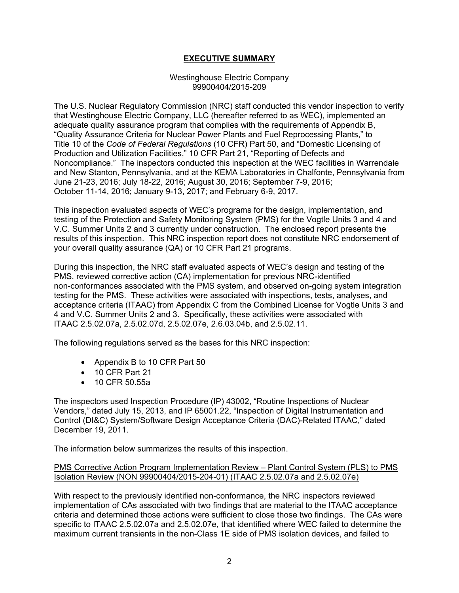# **EXECUTIVE SUMMARY**

#### Westinghouse Electric Company 99900404/2015-209

The U.S. Nuclear Regulatory Commission (NRC) staff conducted this vendor inspection to verify that Westinghouse Electric Company, LLC (hereafter referred to as WEC), implemented an adequate quality assurance program that complies with the requirements of Appendix B, "Quality Assurance Criteria for Nuclear Power Plants and Fuel Reprocessing Plants," to Title 10 of the *Code of Federal Regulations* (10 CFR) Part 50, and "Domestic Licensing of Production and Utilization Facilities," 10 CFR Part 21, "Reporting of Defects and Noncompliance." The inspectors conducted this inspection at the WEC facilities in Warrendale and New Stanton, Pennsylvania, and at the KEMA Laboratories in Chalfonte, Pennsylvania from June 21-23, 2016; July 18-22, 2016; August 30, 2016; September 7-9, 2016; October 11-14, 2016; January 9-13, 2017; and February 6-9, 2017.

This inspection evaluated aspects of WEC's programs for the design, implementation, and testing of the Protection and Safety Monitoring System (PMS) for the Vogtle Units 3 and 4 and V.C. Summer Units 2 and 3 currently under construction. The enclosed report presents the results of this inspection. This NRC inspection report does not constitute NRC endorsement of your overall quality assurance (QA) or 10 CFR Part 21 programs.

During this inspection, the NRC staff evaluated aspects of WEC's design and testing of the PMS, reviewed corrective action (CA) implementation for previous NRC-identified non-conformances associated with the PMS system, and observed on-going system integration testing for the PMS. These activities were associated with inspections, tests, analyses, and acceptance criteria (ITAAC) from Appendix C from the Combined License for Vogtle Units 3 and 4 and V.C. Summer Units 2 and 3. Specifically, these activities were associated with ITAAC 2.5.02.07a, 2.5.02.07d, 2.5.02.07e, 2.6.03.04b, and 2.5.02.11.

The following regulations served as the bases for this NRC inspection:

- Appendix B to 10 CFR Part 50
- 10 CFR Part 21
- 10 CFR 50.55a

The inspectors used Inspection Procedure (IP) 43002, "Routine Inspections of Nuclear Vendors," dated July 15, 2013, and IP 65001.22, "Inspection of Digital Instrumentation and Control (DI&C) System/Software Design Acceptance Criteria (DAC)-Related ITAAC," dated December 19, 2011.

The information below summarizes the results of this inspection.

# PMS Corrective Action Program Implementation Review – Plant Control System (PLS) to PMS Isolation Review (NON 99900404/2015-204-01) (ITAAC 2.5.02.07a and 2.5.02.07e)

With respect to the previously identified non-conformance, the NRC inspectors reviewed implementation of CAs associated with two findings that are material to the ITAAC acceptance criteria and determined those actions were sufficient to close those two findings. The CAs were specific to ITAAC 2.5.02.07a and 2.5.02.07e, that identified where WEC failed to determine the maximum current transients in the non-Class 1E side of PMS isolation devices, and failed to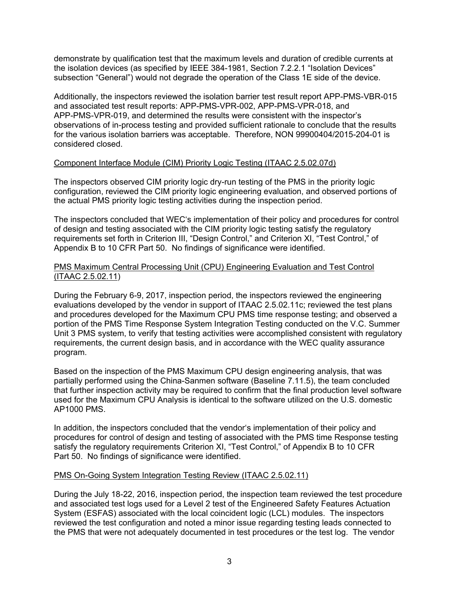demonstrate by qualification test that the maximum levels and duration of credible currents at the isolation devices (as specified by IEEE 384-1981, Section 7.2.2.1 "Isolation Devices" subsection "General") would not degrade the operation of the Class 1E side of the device.

Additionally, the inspectors reviewed the isolation barrier test result report APP-PMS-VBR-015 and associated test result reports: APP-PMS-VPR-002, APP-PMS-VPR-018, and APP-PMS-VPR-019, and determined the results were consistent with the inspector's observations of in-process testing and provided sufficient rationale to conclude that the results for the various isolation barriers was acceptable. Therefore, NON 99900404/2015-204-01 is considered closed.

# Component Interface Module (CIM) Priority Logic Testing (ITAAC 2.5.02.07d)

The inspectors observed CIM priority logic dry-run testing of the PMS in the priority logic configuration, reviewed the CIM priority logic engineering evaluation, and observed portions of the actual PMS priority logic testing activities during the inspection period.

The inspectors concluded that WEC's implementation of their policy and procedures for control of design and testing associated with the CIM priority logic testing satisfy the regulatory requirements set forth in Criterion III, "Design Control," and Criterion XI, "Test Control," of Appendix B to 10 CFR Part 50. No findings of significance were identified.

# PMS Maximum Central Processing Unit (CPU) Engineering Evaluation and Test Control (ITAAC 2.5.02.11)

During the February 6-9, 2017, inspection period, the inspectors reviewed the engineering evaluations developed by the vendor in support of ITAAC 2.5.02.11c; reviewed the test plans and procedures developed for the Maximum CPU PMS time response testing; and observed a portion of the PMS Time Response System Integration Testing conducted on the V.C. Summer Unit 3 PMS system, to verify that testing activities were accomplished consistent with regulatory requirements, the current design basis, and in accordance with the WEC quality assurance program.

Based on the inspection of the PMS Maximum CPU design engineering analysis, that was partially performed using the China-Sanmen software (Baseline 7.11.5), the team concluded that further inspection activity may be required to confirm that the final production level software used for the Maximum CPU Analysis is identical to the software utilized on the U.S. domestic AP1000 PMS.

In addition, the inspectors concluded that the vendor's implementation of their policy and procedures for control of design and testing of associated with the PMS time Response testing satisfy the regulatory requirements Criterion XI, "Test Control," of Appendix B to 10 CFR Part 50. No findings of significance were identified.

# PMS On-Going System Integration Testing Review (ITAAC 2.5.02.11)

During the July 18-22, 2016, inspection period, the inspection team reviewed the test procedure and associated test logs used for a Level 2 test of the Engineered Safety Features Actuation System (ESFAS) associated with the local coincident logic (LCL) modules. The inspectors reviewed the test configuration and noted a minor issue regarding testing leads connected to the PMS that were not adequately documented in test procedures or the test log. The vendor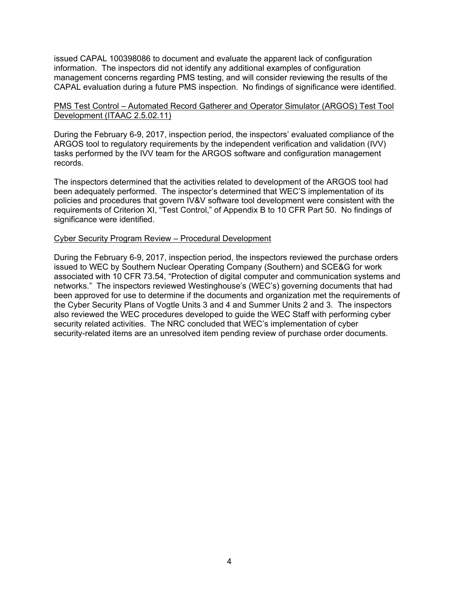issued CAPAL 100398086 to document and evaluate the apparent lack of configuration information. The inspectors did not identify any additional examples of configuration management concerns regarding PMS testing, and will consider reviewing the results of the CAPAL evaluation during a future PMS inspection. No findings of significance were identified.

## PMS Test Control – Automated Record Gatherer and Operator Simulator (ARGOS) Test Tool Development (ITAAC 2.5.02.11)

During the February 6-9, 2017, inspection period, the inspectors' evaluated compliance of the ARGOS tool to regulatory requirements by the independent verification and validation (IVV) tasks performed by the IVV team for the ARGOS software and configuration management records.

The inspectors determined that the activities related to development of the ARGOS tool had been adequately performed. The inspector's determined that WEC'S implementation of its policies and procedures that govern IV&V software tool development were consistent with the requirements of Criterion XI, "Test Control," of Appendix B to 10 CFR Part 50. No findings of significance were identified.

#### Cyber Security Program Review – Procedural Development

During the February 6-9, 2017, inspection period, the inspectors reviewed the purchase orders issued to WEC by Southern Nuclear Operating Company (Southern) and SCE&G for work associated with 10 CFR 73.54, "Protection of digital computer and communication systems and networks." The inspectors reviewed Westinghouse's (WEC's) governing documents that had been approved for use to determine if the documents and organization met the requirements of the Cyber Security Plans of Vogtle Units 3 and 4 and Summer Units 2 and 3. The inspectors also reviewed the WEC procedures developed to guide the WEC Staff with performing cyber security related activities. The NRC concluded that WEC's implementation of cyber security-related items are an unresolved item pending review of purchase order documents.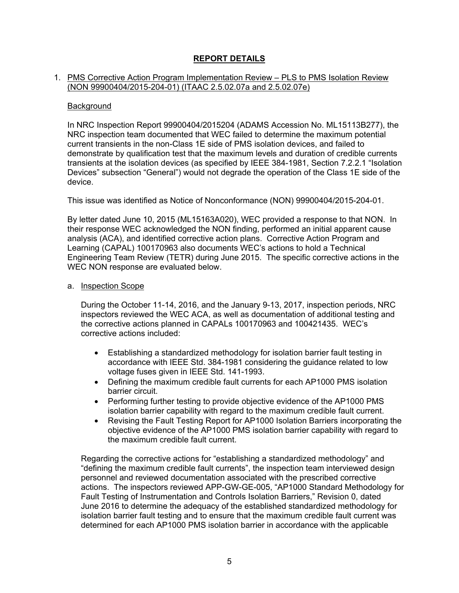# **REPORT DETAILS**

#### 1. PMS Corrective Action Program Implementation Review – PLS to PMS Isolation Review (NON 99900404/2015-204-01) (ITAAC 2.5.02.07a and 2.5.02.07e)

#### **Background**

In NRC Inspection Report 99900404/2015204 (ADAMS Accession No. ML15113B277), the NRC inspection team documented that WEC failed to determine the maximum potential current transients in the non-Class 1E side of PMS isolation devices, and failed to demonstrate by qualification test that the maximum levels and duration of credible currents transients at the isolation devices (as specified by IEEE 384-1981, Section 7.2.2.1 "Isolation Devices" subsection "General") would not degrade the operation of the Class 1E side of the device.

This issue was identified as Notice of Nonconformance (NON) 99900404/2015-204-01.

By letter dated June 10, 2015 (ML15163A020), WEC provided a response to that NON. In their response WEC acknowledged the NON finding, performed an initial apparent cause analysis (ACA), and identified corrective action plans. Corrective Action Program and Learning (CAPAL) 100170963 also documents WEC's actions to hold a Technical Engineering Team Review (TETR) during June 2015. The specific corrective actions in the WEC NON response are evaluated below.

#### a. Inspection Scope

During the October 11-14, 2016, and the January 9-13, 2017, inspection periods, NRC inspectors reviewed the WEC ACA, as well as documentation of additional testing and the corrective actions planned in CAPALs 100170963 and 100421435. WEC's corrective actions included:

- Establishing a standardized methodology for isolation barrier fault testing in accordance with IEEE Std. 384-1981 considering the guidance related to low voltage fuses given in IEEE Std. 141-1993.
- Defining the maximum credible fault currents for each AP1000 PMS isolation barrier circuit.
- Performing further testing to provide objective evidence of the AP1000 PMS isolation barrier capability with regard to the maximum credible fault current.
- Revising the Fault Testing Report for AP1000 Isolation Barriers incorporating the objective evidence of the AP1000 PMS isolation barrier capability with regard to the maximum credible fault current.

Regarding the corrective actions for "establishing a standardized methodology" and "defining the maximum credible fault currents", the inspection team interviewed design personnel and reviewed documentation associated with the prescribed corrective actions. The inspectors reviewed APP-GW-GE-005, "AP1000 Standard Methodology for Fault Testing of Instrumentation and Controls Isolation Barriers," Revision 0, dated June 2016 to determine the adequacy of the established standardized methodology for isolation barrier fault testing and to ensure that the maximum credible fault current was determined for each AP1000 PMS isolation barrier in accordance with the applicable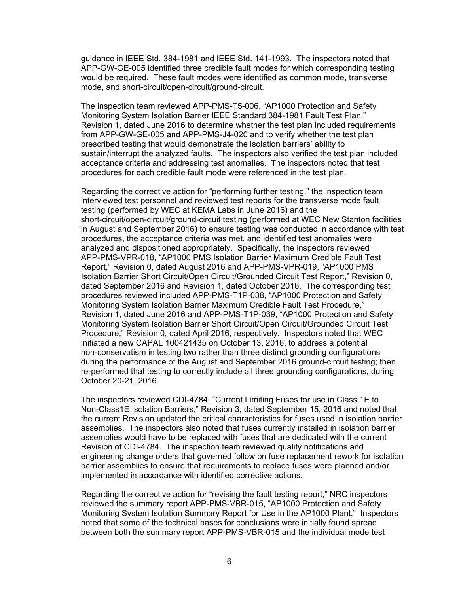guidance in IEEE Std. 384-1981 and IEEE Std. 141-1993. The inspectors noted that APP-GW-GE-005 identified three credible fault modes for which corresponding testing would be required. These fault modes were identified as common mode, transverse mode, and short-circuit/open-circuit/ground-circuit.

The inspection team reviewed APP-PMS-T5-006, "AP1000 Protection and Safety Monitoring System Isolation Barrier IEEE Standard 384-1981 Fault Test Plan," Revision 1, dated June 2016 to determine whether the test plan included requirements from APP-GW-GE-005 and APP-PMS-J4-020 and to verify whether the test plan prescribed testing that would demonstrate the isolation barriers' ability to sustain/interrupt the analyzed faults. The inspectors also verified the test plan included acceptance criteria and addressing test anomalies. The inspectors noted that test procedures for each credible fault mode were referenced in the test plan.

Regarding the corrective action for "performing further testing," the inspection team interviewed test personnel and reviewed test reports for the transverse mode fault testing (performed by WEC at KEMA Labs in June 2016) and the short-circuit/open-circuit/ground-circuit testing (performed at WEC New Stanton facilities in August and September 2016) to ensure testing was conducted in accordance with test procedures, the acceptance criteria was met, and identified test anomalies were analyzed and dispositioned appropriately. Specifically, the inspectors reviewed APP-PMS-VPR-018, "AP1000 PMS Isolation Barrier Maximum Credible Fault Test Report," Revision 0, dated August 2016 and APP-PMS-VPR-019, "AP1000 PMS Isolation Barrier Short Circuit/Open Circuit/Grounded Circuit Test Report," Revision 0, dated September 2016 and Revision 1, dated October 2016. The corresponding test procedures reviewed included APP-PMS-T1P-038, "AP1000 Protection and Safety Monitoring System Isolation Barrier Maximum Credible Fault Test Procedure," Revision 1, dated June 2016 and APP-PMS-T1P-039, "AP1000 Protection and Safety Monitoring System Isolation Barrier Short Circuit/Open Circuit/Grounded Circuit Test Procedure," Revision 0, dated April 2016, respectively. Inspectors noted that WEC initiated a new CAPAL 100421435 on October 13, 2016, to address a potential non-conservatism in testing two rather than three distinct grounding configurations during the performance of the August and September 2016 ground-circuit testing; then re-performed that testing to correctly include all three grounding configurations, during October 20-21, 2016.

The inspectors reviewed CDI-4784, "Current Limiting Fuses for use in Class 1E to Non-Class1E Isolation Barriers," Revision 3, dated September 15, 2016 and noted that the current Revision updated the critical characteristics for fuses used in isolation barrier assemblies. The inspectors also noted that fuses currently installed in isolation barrier assemblies would have to be replaced with fuses that are dedicated with the current Revision of CDI-4784. The inspection team reviewed quality notifications and engineering change orders that governed follow on fuse replacement rework for isolation barrier assemblies to ensure that requirements to replace fuses were planned and/or implemented in accordance with identified corrective actions.

Regarding the corrective action for "revising the fault testing report," NRC inspectors reviewed the summary report APP-PMS-VBR-015, "AP1000 Protection and Safety Monitoring System Isolation Summary Report for Use in the AP1000 Plant." Inspectors noted that some of the technical bases for conclusions were initially found spread between both the summary report APP-PMS-VBR-015 and the individual mode test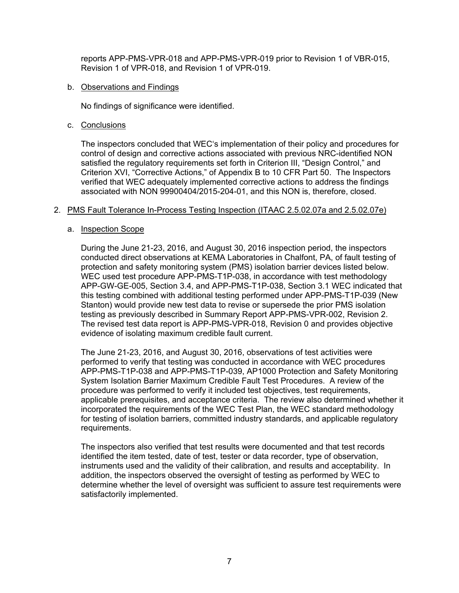reports APP-PMS-VPR-018 and APP-PMS-VPR-019 prior to Revision 1 of VBR-015, Revision 1 of VPR-018, and Revision 1 of VPR-019.

#### b. Observations and Findings

No findings of significance were identified.

c. Conclusions

The inspectors concluded that WEC's implementation of their policy and procedures for control of design and corrective actions associated with previous NRC-identified NON satisfied the regulatory requirements set forth in Criterion III, "Design Control," and Criterion XVI, "Corrective Actions," of Appendix B to 10 CFR Part 50. The Inspectors verified that WEC adequately implemented corrective actions to address the findings associated with NON 99900404/2015-204-01, and this NON is, therefore, closed.

#### 2. PMS Fault Tolerance In-Process Testing Inspection (ITAAC 2.5.02.07a and 2.5.02.07e)

#### a. Inspection Scope

During the June 21-23, 2016, and August 30, 2016 inspection period, the inspectors conducted direct observations at KEMA Laboratories in Chalfont, PA, of fault testing of protection and safety monitoring system (PMS) isolation barrier devices listed below. WEC used test procedure APP-PMS-T1P-038, in accordance with test methodology APP-GW-GE-005, Section 3.4, and APP-PMS-T1P-038, Section 3.1 WEC indicated that this testing combined with additional testing performed under APP-PMS-T1P-039 (New Stanton) would provide new test data to revise or supersede the prior PMS isolation testing as previously described in Summary Report APP-PMS-VPR-002, Revision 2. The revised test data report is APP-PMS-VPR-018, Revision 0 and provides objective evidence of isolating maximum credible fault current.

The June 21-23, 2016, and August 30, 2016, observations of test activities were performed to verify that testing was conducted in accordance with WEC procedures APP-PMS-T1P-038 and APP-PMS-T1P-039, AP1000 Protection and Safety Monitoring System Isolation Barrier Maximum Credible Fault Test Procedures. A review of the procedure was performed to verify it included test objectives, test requirements, applicable prerequisites, and acceptance criteria. The review also determined whether it incorporated the requirements of the WEC Test Plan, the WEC standard methodology for testing of isolation barriers, committed industry standards, and applicable regulatory requirements.

The inspectors also verified that test results were documented and that test records identified the item tested, date of test, tester or data recorder, type of observation, instruments used and the validity of their calibration, and results and acceptability. In addition, the inspectors observed the oversight of testing as performed by WEC to determine whether the level of oversight was sufficient to assure test requirements were satisfactorily implemented.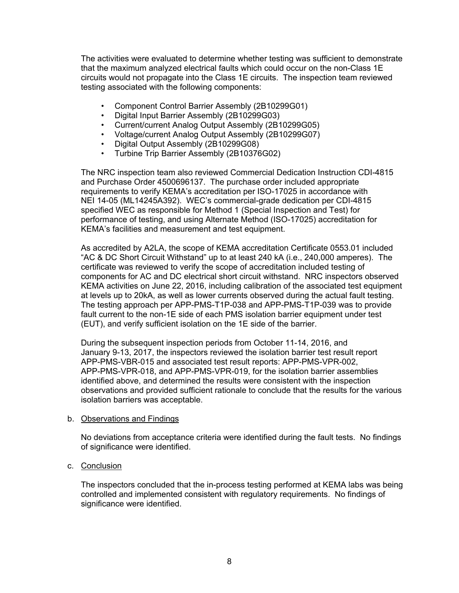The activities were evaluated to determine whether testing was sufficient to demonstrate that the maximum analyzed electrical faults which could occur on the non-Class 1E circuits would not propagate into the Class 1E circuits. The inspection team reviewed testing associated with the following components:

- Component Control Barrier Assembly (2B10299G01)
- Digital Input Barrier Assembly (2B10299G03)
- Current/current Analog Output Assembly (2B10299G05)
- Voltage/current Analog Output Assembly (2B10299G07)
- Digital Output Assembly (2B10299G08)
- Turbine Trip Barrier Assembly (2B10376G02)

The NRC inspection team also reviewed Commercial Dedication Instruction CDI-4815 and Purchase Order 4500696137. The purchase order included appropriate requirements to verify KEMA's accreditation per ISO-17025 in accordance with NEI 14-05 (ML14245A392). WEC's commercial-grade dedication per CDI-4815 specified WEC as responsible for Method 1 (Special Inspection and Test) for performance of testing, and using Alternate Method (ISO-17025) accreditation for KEMA's facilities and measurement and test equipment.

As accredited by A2LA, the scope of KEMA accreditation Certificate 0553.01 included "AC & DC Short Circuit Withstand" up to at least 240 kA (i.e., 240,000 amperes). The certificate was reviewed to verify the scope of accreditation included testing of components for AC and DC electrical short circuit withstand. NRC inspectors observed KEMA activities on June 22, 2016, including calibration of the associated test equipment at levels up to 20kA, as well as lower currents observed during the actual fault testing. The testing approach per APP-PMS-T1P-038 and APP-PMS-T1P-039 was to provide fault current to the non-1E side of each PMS isolation barrier equipment under test (EUT), and verify sufficient isolation on the 1E side of the barrier.

During the subsequent inspection periods from October 11-14, 2016, and January 9-13, 2017, the inspectors reviewed the isolation barrier test result report APP-PMS-VBR-015 and associated test result reports: APP-PMS-VPR-002, APP-PMS-VPR-018, and APP-PMS-VPR-019, for the isolation barrier assemblies identified above, and determined the results were consistent with the inspection observations and provided sufficient rationale to conclude that the results for the various isolation barriers was acceptable.

#### b. Observations and Findings

No deviations from acceptance criteria were identified during the fault tests. No findings of significance were identified.

#### c. Conclusion

The inspectors concluded that the in-process testing performed at KEMA labs was being controlled and implemented consistent with regulatory requirements. No findings of significance were identified.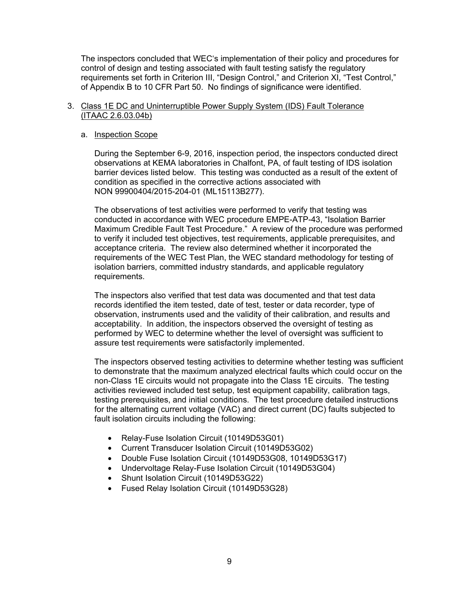The inspectors concluded that WEC's implementation of their policy and procedures for control of design and testing associated with fault testing satisfy the regulatory requirements set forth in Criterion III, "Design Control," and Criterion XI, "Test Control," of Appendix B to 10 CFR Part 50. No findings of significance were identified.

## 3. Class 1E DC and Uninterruptible Power Supply System (IDS) Fault Tolerance (ITAAC 2.6.03.04b)

## a. Inspection Scope

During the September 6-9, 2016, inspection period, the inspectors conducted direct observations at KEMA laboratories in Chalfont, PA, of fault testing of IDS isolation barrier devices listed below. This testing was conducted as a result of the extent of condition as specified in the corrective actions associated with NON 99900404/2015-204-01 (ML15113B277).

The observations of test activities were performed to verify that testing was conducted in accordance with WEC procedure EMPE-ATP-43, "Isolation Barrier Maximum Credible Fault Test Procedure." A review of the procedure was performed to verify it included test objectives, test requirements, applicable prerequisites, and acceptance criteria. The review also determined whether it incorporated the requirements of the WEC Test Plan, the WEC standard methodology for testing of isolation barriers, committed industry standards, and applicable regulatory requirements.

The inspectors also verified that test data was documented and that test data records identified the item tested, date of test, tester or data recorder, type of observation, instruments used and the validity of their calibration, and results and acceptability. In addition, the inspectors observed the oversight of testing as performed by WEC to determine whether the level of oversight was sufficient to assure test requirements were satisfactorily implemented.

The inspectors observed testing activities to determine whether testing was sufficient to demonstrate that the maximum analyzed electrical faults which could occur on the non-Class 1E circuits would not propagate into the Class 1E circuits. The testing activities reviewed included test setup, test equipment capability, calibration tags, testing prerequisites, and initial conditions. The test procedure detailed instructions for the alternating current voltage (VAC) and direct current (DC) faults subjected to fault isolation circuits including the following:

- Relay-Fuse Isolation Circuit (10149D53G01)
- Current Transducer Isolation Circuit (10149D53G02)
- Double Fuse Isolation Circuit (10149D53G08, 10149D53G17)
- Undervoltage Relay-Fuse Isolation Circuit (10149D53G04)
- Shunt Isolation Circuit (10149D53G22)
- Fused Relay Isolation Circuit (10149D53G28)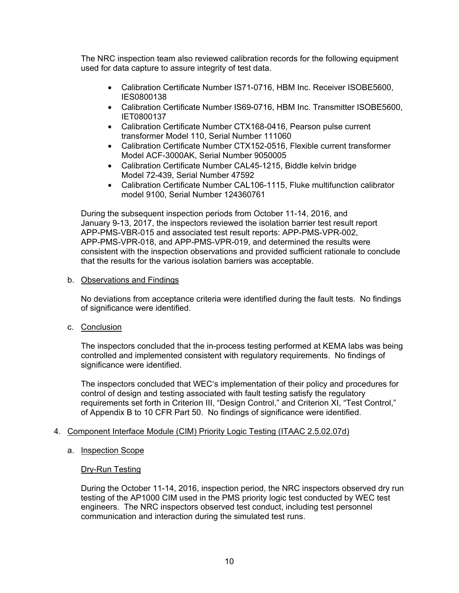The NRC inspection team also reviewed calibration records for the following equipment used for data capture to assure integrity of test data.

- Calibration Certificate Number IS71-0716, HBM Inc. Receiver ISOBE5600. IES0800138
- Calibration Certificate Number IS69-0716, HBM Inc. Transmitter ISOBE5600, IET0800137
- Calibration Certificate Number CTX168-0416, Pearson pulse current transformer Model 110, Serial Number 111060
- Calibration Certificate Number CTX152-0516, Flexible current transformer Model ACF-3000AK, Serial Number 9050005
- Calibration Certificate Number CAL45-1215, Biddle kelvin bridge Model 72-439, Serial Number 47592
- Calibration Certificate Number CAL106-1115, Fluke multifunction calibrator model 9100, Serial Number 124360761

During the subsequent inspection periods from October 11-14, 2016, and January 9-13, 2017, the inspectors reviewed the isolation barrier test result report APP-PMS-VBR-015 and associated test result reports: APP-PMS-VPR-002, APP-PMS-VPR-018, and APP-PMS-VPR-019, and determined the results were consistent with the inspection observations and provided sufficient rationale to conclude that the results for the various isolation barriers was acceptable.

## b. Observations and Findings

No deviations from acceptance criteria were identified during the fault tests. No findings of significance were identified.

c. Conclusion

The inspectors concluded that the in-process testing performed at KEMA labs was being controlled and implemented consistent with regulatory requirements. No findings of significance were identified.

The inspectors concluded that WEC's implementation of their policy and procedures for control of design and testing associated with fault testing satisfy the regulatory requirements set forth in Criterion III, "Design Control," and Criterion XI, "Test Control," of Appendix B to 10 CFR Part 50. No findings of significance were identified.

# 4. Component Interface Module (CIM) Priority Logic Testing (ITAAC 2.5.02.07d)

# a. Inspection Scope

#### Dry-Run Testing

During the October 11-14, 2016, inspection period, the NRC inspectors observed dry run testing of the AP1000 CIM used in the PMS priority logic test conducted by WEC test engineers. The NRC inspectors observed test conduct, including test personnel communication and interaction during the simulated test runs.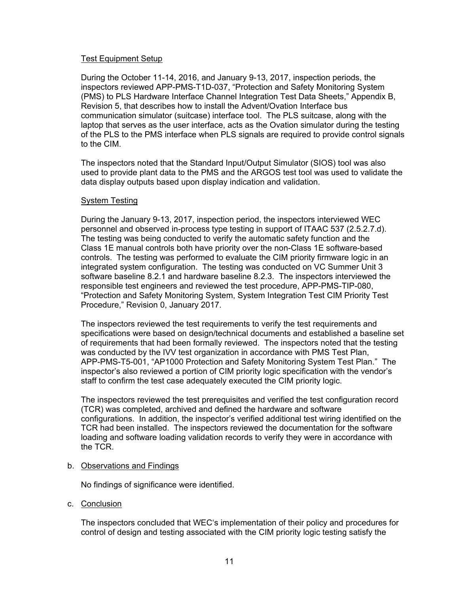## Test Equipment Setup

During the October 11-14, 2016, and January 9-13, 2017, inspection periods, the inspectors reviewed APP-PMS-T1D-037, "Protection and Safety Monitoring System (PMS) to PLS Hardware Interface Channel Integration Test Data Sheets," Appendix B, Revision 5, that describes how to install the Advent/Ovation Interface bus communication simulator (suitcase) interface tool. The PLS suitcase, along with the laptop that serves as the user interface, acts as the Ovation simulator during the testing of the PLS to the PMS interface when PLS signals are required to provide control signals to the CIM.

The inspectors noted that the Standard Input/Output Simulator (SIOS) tool was also used to provide plant data to the PMS and the ARGOS test tool was used to validate the data display outputs based upon display indication and validation.

## System Testing

During the January 9-13, 2017, inspection period, the inspectors interviewed WEC personnel and observed in-process type testing in support of ITAAC 537 (2.5.2.7.d). The testing was being conducted to verify the automatic safety function and the Class 1E manual controls both have priority over the non-Class 1E software-based controls. The testing was performed to evaluate the CIM priority firmware logic in an integrated system configuration. The testing was conducted on VC Summer Unit 3 software baseline 8.2.1 and hardware baseline 8.2.3. The inspectors interviewed the responsible test engineers and reviewed the test procedure, APP-PMS-TIP-080, "Protection and Safety Monitoring System, System Integration Test CIM Priority Test Procedure," Revision 0, January 2017.

The inspectors reviewed the test requirements to verify the test requirements and specifications were based on design/technical documents and established a baseline set of requirements that had been formally reviewed. The inspectors noted that the testing was conducted by the IVV test organization in accordance with PMS Test Plan, APP-PMS-T5-001, "AP1000 Protection and Safety Monitoring System Test Plan." The inspector's also reviewed a portion of CIM priority logic specification with the vendor's staff to confirm the test case adequately executed the CIM priority logic.

The inspectors reviewed the test prerequisites and verified the test configuration record (TCR) was completed, archived and defined the hardware and software configurations. In addition, the inspector's verified additional test wiring identified on the TCR had been installed. The inspectors reviewed the documentation for the software loading and software loading validation records to verify they were in accordance with the TCR.

#### b. Observations and Findings

No findings of significance were identified.

c. Conclusion

The inspectors concluded that WEC's implementation of their policy and procedures for control of design and testing associated with the CIM priority logic testing satisfy the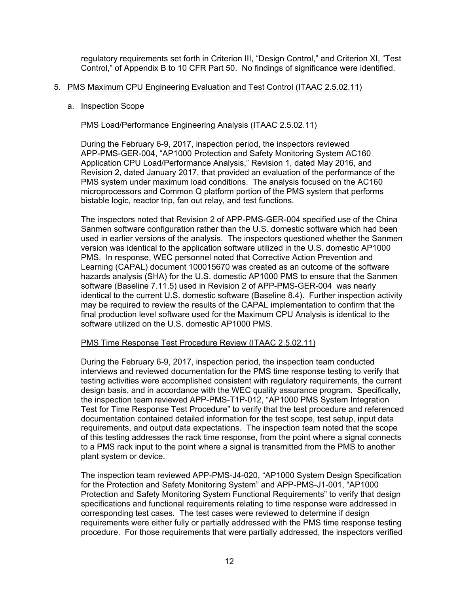regulatory requirements set forth in Criterion III, "Design Control," and Criterion XI, "Test Control," of Appendix B to 10 CFR Part 50. No findings of significance were identified.

# 5. PMS Maximum CPU Engineering Evaluation and Test Control (ITAAC 2.5.02.11)

#### a. Inspection Scope

## PMS Load/Performance Engineering Analysis (ITAAC 2.5.02.11)

During the February 6-9, 2017, inspection period, the inspectors reviewed APP-PMS-GER-004, "AP1000 Protection and Safety Monitoring System AC160 Application CPU Load/Performance Analysis," Revision 1, dated May 2016, and Revision 2, dated January 2017, that provided an evaluation of the performance of the PMS system under maximum load conditions. The analysis focused on the AC160 microprocessors and Common Q platform portion of the PMS system that performs bistable logic, reactor trip, fan out relay, and test functions.

The inspectors noted that Revision 2 of APP-PMS-GER-004 specified use of the China Sanmen software configuration rather than the U.S. domestic software which had been used in earlier versions of the analysis. The inspectors questioned whether the Sanmen version was identical to the application software utilized in the U.S. domestic AP1000 PMS. In response, WEC personnel noted that Corrective Action Prevention and Learning (CAPAL) document 100015670 was created as an outcome of the software hazards analysis (SHA) for the U.S. domestic AP1000 PMS to ensure that the Sanmen software (Baseline 7.11.5) used in Revision 2 of APP-PMS-GER-004 was nearly identical to the current U.S. domestic software (Baseline 8.4). Further inspection activity may be required to review the results of the CAPAL implementation to confirm that the final production level software used for the Maximum CPU Analysis is identical to the software utilized on the U.S. domestic AP1000 PMS.

# PMS Time Response Test Procedure Review (ITAAC 2.5.02.11)

During the February 6-9, 2017, inspection period, the inspection team conducted interviews and reviewed documentation for the PMS time response testing to verify that testing activities were accomplished consistent with regulatory requirements, the current design basis, and in accordance with the WEC quality assurance program. Specifically, the inspection team reviewed APP-PMS-T1P-012, "AP1000 PMS System Integration Test for Time Response Test Procedure" to verify that the test procedure and referenced documentation contained detailed information for the test scope, test setup, input data requirements, and output data expectations. The inspection team noted that the scope of this testing addresses the rack time response, from the point where a signal connects to a PMS rack input to the point where a signal is transmitted from the PMS to another plant system or device.

The inspection team reviewed APP-PMS-J4-020, "AP1000 System Design Specification for the Protection and Safety Monitoring System" and APP-PMS-J1-001, "AP1000 Protection and Safety Monitoring System Functional Requirements" to verify that design specifications and functional requirements relating to time response were addressed in corresponding test cases. The test cases were reviewed to determine if design requirements were either fully or partially addressed with the PMS time response testing procedure. For those requirements that were partially addressed, the inspectors verified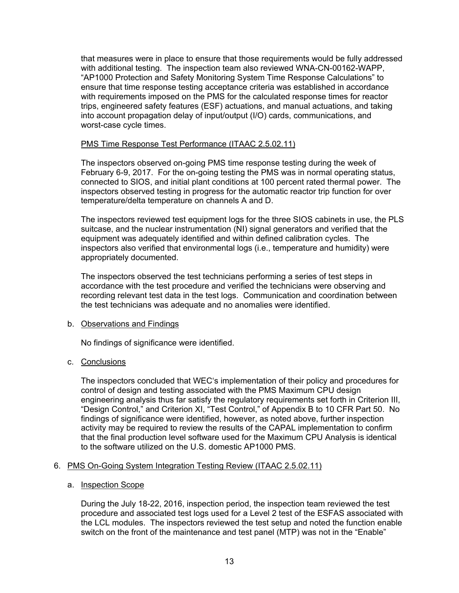that measures were in place to ensure that those requirements would be fully addressed with additional testing. The inspection team also reviewed WNA-CN-00162-WAPP, "AP1000 Protection and Safety Monitoring System Time Response Calculations" to ensure that time response testing acceptance criteria was established in accordance with requirements imposed on the PMS for the calculated response times for reactor trips, engineered safety features (ESF) actuations, and manual actuations, and taking into account propagation delay of input/output (I/O) cards, communications, and worst-case cycle times.

# PMS Time Response Test Performance (ITAAC 2.5.02.11)

The inspectors observed on-going PMS time response testing during the week of February 6-9, 2017. For the on-going testing the PMS was in normal operating status, connected to SIOS, and initial plant conditions at 100 percent rated thermal power. The inspectors observed testing in progress for the automatic reactor trip function for over temperature/delta temperature on channels A and D.

The inspectors reviewed test equipment logs for the three SIOS cabinets in use, the PLS suitcase, and the nuclear instrumentation (NI) signal generators and verified that the equipment was adequately identified and within defined calibration cycles. The inspectors also verified that environmental logs (i.e., temperature and humidity) were appropriately documented.

The inspectors observed the test technicians performing a series of test steps in accordance with the test procedure and verified the technicians were observing and recording relevant test data in the test logs. Communication and coordination between the test technicians was adequate and no anomalies were identified.

#### b. Observations and Findings

No findings of significance were identified.

# c. Conclusions

The inspectors concluded that WEC's implementation of their policy and procedures for control of design and testing associated with the PMS Maximum CPU design engineering analysis thus far satisfy the regulatory requirements set forth in Criterion III, "Design Control," and Criterion XI, "Test Control," of Appendix B to 10 CFR Part 50. No findings of significance were identified, however, as noted above, further inspection activity may be required to review the results of the CAPAL implementation to confirm that the final production level software used for the Maximum CPU Analysis is identical to the software utilized on the U.S. domestic AP1000 PMS.

# 6. PMS On-Going System Integration Testing Review (ITAAC 2.5.02.11)

#### a. Inspection Scope

During the July 18-22, 2016, inspection period, the inspection team reviewed the test procedure and associated test logs used for a Level 2 test of the ESFAS associated with the LCL modules. The inspectors reviewed the test setup and noted the function enable switch on the front of the maintenance and test panel (MTP) was not in the "Enable"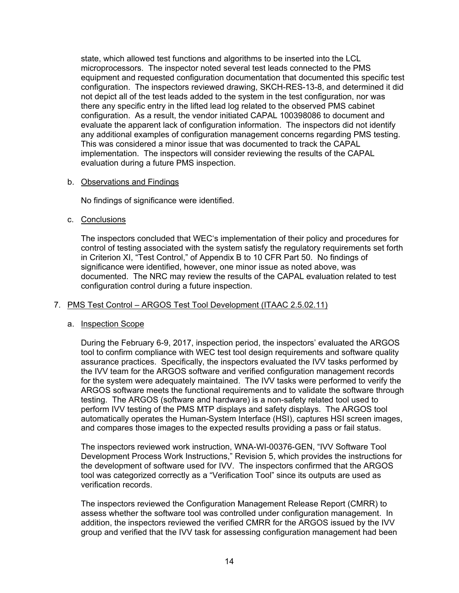state, which allowed test functions and algorithms to be inserted into the LCL microprocessors. The inspector noted several test leads connected to the PMS equipment and requested configuration documentation that documented this specific test configuration. The inspectors reviewed drawing, SKCH-RES-13-8, and determined it did not depict all of the test leads added to the system in the test configuration, nor was there any specific entry in the lifted lead log related to the observed PMS cabinet configuration. As a result, the vendor initiated CAPAL 100398086 to document and evaluate the apparent lack of configuration information. The inspectors did not identify any additional examples of configuration management concerns regarding PMS testing. This was considered a minor issue that was documented to track the CAPAL implementation. The inspectors will consider reviewing the results of the CAPAL evaluation during a future PMS inspection.

## b. Observations and Findings

No findings of significance were identified.

c. Conclusions

The inspectors concluded that WEC's implementation of their policy and procedures for control of testing associated with the system satisfy the regulatory requirements set forth in Criterion XI, "Test Control," of Appendix B to 10 CFR Part 50. No findings of significance were identified, however, one minor issue as noted above, was documented. The NRC may review the results of the CAPAL evaluation related to test configuration control during a future inspection.

# 7. PMS Test Control – ARGOS Test Tool Development (ITAAC 2.5.02.11)

# a. Inspection Scope

During the February 6-9, 2017, inspection period, the inspectors' evaluated the ARGOS tool to confirm compliance with WEC test tool design requirements and software quality assurance practices. Specifically, the inspectors evaluated the IVV tasks performed by the IVV team for the ARGOS software and verified configuration management records for the system were adequately maintained. The IVV tasks were performed to verify the ARGOS software meets the functional requirements and to validate the software through testing. The ARGOS (software and hardware) is a non-safety related tool used to perform IVV testing of the PMS MTP displays and safety displays. The ARGOS tool automatically operates the Human-System Interface (HSI), captures HSI screen images, and compares those images to the expected results providing a pass or fail status.

The inspectors reviewed work instruction, WNA-WI-00376-GEN, "IVV Software Tool Development Process Work Instructions," Revision 5, which provides the instructions for the development of software used for IVV. The inspectors confirmed that the ARGOS tool was categorized correctly as a "Verification Tool" since its outputs are used as verification records.

The inspectors reviewed the Configuration Management Release Report (CMRR) to assess whether the software tool was controlled under configuration management. In addition, the inspectors reviewed the verified CMRR for the ARGOS issued by the IVV group and verified that the IVV task for assessing configuration management had been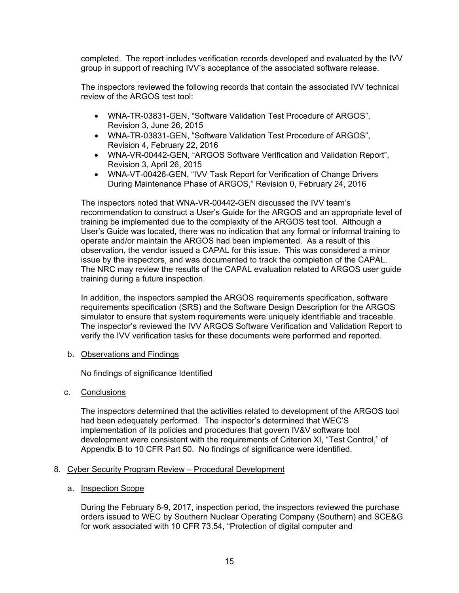completed. The report includes verification records developed and evaluated by the IVV group in support of reaching IVV's acceptance of the associated software release.

The inspectors reviewed the following records that contain the associated IVV technical review of the ARGOS test tool:

- WNA-TR-03831-GEN, "Software Validation Test Procedure of ARGOS", Revision 3, June 26, 2015
- WNA-TR-03831-GEN, "Software Validation Test Procedure of ARGOS", Revision 4, February 22, 2016
- WNA-VR-00442-GEN, "ARGOS Software Verification and Validation Report", Revision 3, April 26, 2015
- WNA-VT-00426-GEN, "IVV Task Report for Verification of Change Drivers During Maintenance Phase of ARGOS," Revision 0, February 24, 2016

The inspectors noted that WNA-VR-00442-GEN discussed the IVV team's recommendation to construct a User's Guide for the ARGOS and an appropriate level of training be implemented due to the complexity of the ARGOS test tool. Although a User's Guide was located, there was no indication that any formal or informal training to operate and/or maintain the ARGOS had been implemented. As a result of this observation, the vendor issued a CAPAL for this issue. This was considered a minor issue by the inspectors, and was documented to track the completion of the CAPAL. The NRC may review the results of the CAPAL evaluation related to ARGOS user guide training during a future inspection.

In addition, the inspectors sampled the ARGOS requirements specification, software requirements specification (SRS) and the Software Design Description for the ARGOS simulator to ensure that system requirements were uniquely identifiable and traceable. The inspector's reviewed the IVV ARGOS Software Verification and Validation Report to verify the IVV verification tasks for these documents were performed and reported.

#### b. Observations and Findings

No findings of significance Identified

c. Conclusions

The inspectors determined that the activities related to development of the ARGOS tool had been adequately performed. The inspector's determined that WEC'S implementation of its policies and procedures that govern IV&V software tool development were consistent with the requirements of Criterion XI, "Test Control," of Appendix B to 10 CFR Part 50. No findings of significance were identified.

## 8. Cyber Security Program Review – Procedural Development

a. Inspection Scope

During the February 6-9, 2017, inspection period, the inspectors reviewed the purchase orders issued to WEC by Southern Nuclear Operating Company (Southern) and SCE&G for work associated with 10 CFR 73.54, "Protection of digital computer and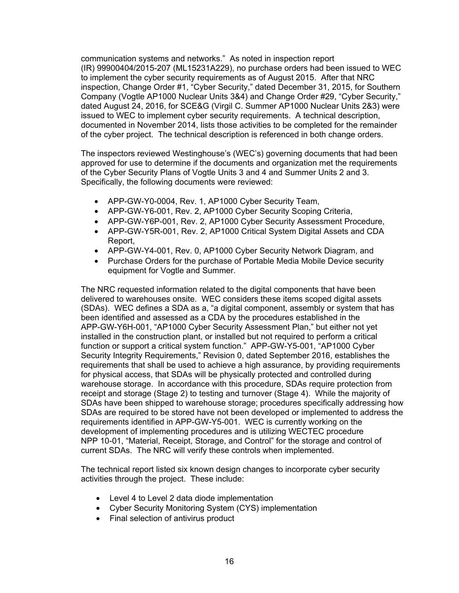communication systems and networks." As noted in inspection report (IR) 99900404/2015-207 (ML15231A229), no purchase orders had been issued to WEC to implement the cyber security requirements as of August 2015. After that NRC inspection, Change Order #1, "Cyber Security," dated December 31, 2015, for Southern Company (Vogtle AP1000 Nuclear Units 3&4) and Change Order #29, "Cyber Security," dated August 24, 2016, for SCE&G (Virgil C. Summer AP1000 Nuclear Units 2&3) were issued to WEC to implement cyber security requirements. A technical description, documented in November 2014, lists those activities to be completed for the remainder of the cyber project. The technical description is referenced in both change orders.

The inspectors reviewed Westinghouse's (WEC's) governing documents that had been approved for use to determine if the documents and organization met the requirements of the Cyber Security Plans of Vogtle Units 3 and 4 and Summer Units 2 and 3. Specifically, the following documents were reviewed:

- APP-GW-Y0-0004, Rev. 1, AP1000 Cyber Security Team,
- APP-GW-Y6-001, Rev. 2, AP1000 Cyber Security Scoping Criteria,
- APP-GW-Y6P-001, Rev. 2, AP1000 Cyber Security Assessment Procedure,
- APP-GW-Y5R-001, Rev. 2, AP1000 Critical System Digital Assets and CDA Report,
- APP-GW-Y4-001, Rev. 0, AP1000 Cyber Security Network Diagram, and
- Purchase Orders for the purchase of Portable Media Mobile Device security equipment for Vogtle and Summer.

The NRC requested information related to the digital components that have been delivered to warehouses onsite. WEC considers these items scoped digital assets (SDAs). WEC defines a SDA as a, "a digital component, assembly or system that has been identified and assessed as a CDA by the procedures established in the APP-GW-Y6H-001, "AP1000 Cyber Security Assessment Plan," but either not yet installed in the construction plant, or installed but not required to perform a critical function or support a critical system function." APP-GW-Y5-001, "AP1000 Cyber Security Integrity Requirements," Revision 0, dated September 2016, establishes the requirements that shall be used to achieve a high assurance, by providing requirements for physical access, that SDAs will be physically protected and controlled during warehouse storage. In accordance with this procedure, SDAs require protection from receipt and storage (Stage 2) to testing and turnover (Stage 4). While the majority of SDAs have been shipped to warehouse storage; procedures specifically addressing how SDAs are required to be stored have not been developed or implemented to address the requirements identified in APP-GW-Y5-001. WEC is currently working on the development of implementing procedures and is utilizing WECTEC procedure NPP 10-01, "Material, Receipt, Storage, and Control" for the storage and control of current SDAs. The NRC will verify these controls when implemented.

The technical report listed six known design changes to incorporate cyber security activities through the project. These include:

- Level 4 to Level 2 data diode implementation
- Cyber Security Monitoring System (CYS) implementation
- Final selection of antivirus product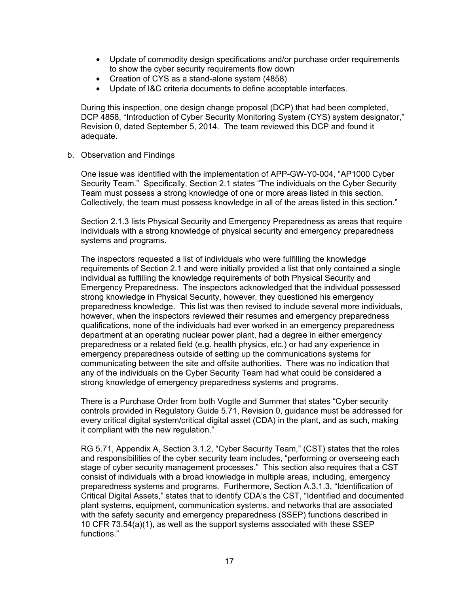- Update of commodity design specifications and/or purchase order requirements to show the cyber security requirements flow down
- Creation of CYS as a stand-alone system (4858)
- Update of I&C criteria documents to define acceptable interfaces.

During this inspection, one design change proposal (DCP) that had been completed, DCP 4858, "Introduction of Cyber Security Monitoring System (CYS) system designator," Revision 0, dated September 5, 2014. The team reviewed this DCP and found it adequate.

## b. Observation and Findings

One issue was identified with the implementation of APP-GW-Y0-004, "AP1000 Cyber Security Team." Specifically, Section 2.1 states "The individuals on the Cyber Security Team must possess a strong knowledge of one or more areas listed in this section. Collectively, the team must possess knowledge in all of the areas listed in this section."

Section 2.1.3 lists Physical Security and Emergency Preparedness as areas that require individuals with a strong knowledge of physical security and emergency preparedness systems and programs.

The inspectors requested a list of individuals who were fulfilling the knowledge requirements of Section 2.1 and were initially provided a list that only contained a single individual as fulfilling the knowledge requirements of both Physical Security and Emergency Preparedness. The inspectors acknowledged that the individual possessed strong knowledge in Physical Security, however, they questioned his emergency preparedness knowledge. This list was then revised to include several more individuals, however, when the inspectors reviewed their resumes and emergency preparedness qualifications, none of the individuals had ever worked in an emergency preparedness department at an operating nuclear power plant, had a degree in either emergency preparedness or a related field (e.g. health physics, etc.) or had any experience in emergency preparedness outside of setting up the communications systems for communicating between the site and offsite authorities. There was no indication that any of the individuals on the Cyber Security Team had what could be considered a strong knowledge of emergency preparedness systems and programs.

There is a Purchase Order from both Vogtle and Summer that states "Cyber security controls provided in Regulatory Guide 5.71, Revision 0, guidance must be addressed for every critical digital system/critical digital asset (CDA) in the plant, and as such, making it compliant with the new regulation."

RG 5.71, Appendix A, Section 3.1.2, "Cyber Security Team," (CST) states that the roles and responsibilities of the cyber security team includes, "performing or overseeing each stage of cyber security management processes." This section also requires that a CST consist of individuals with a broad knowledge in multiple areas, including, emergency preparedness systems and programs. Furthermore, Section A.3.1.3, "Identification of Critical Digital Assets," states that to identify CDA's the CST, "Identified and documented plant systems, equipment, communication systems, and networks that are associated with the safety security and emergency preparedness (SSEP) functions described in 10 CFR 73.54(a)(1), as well as the support systems associated with these SSEP functions."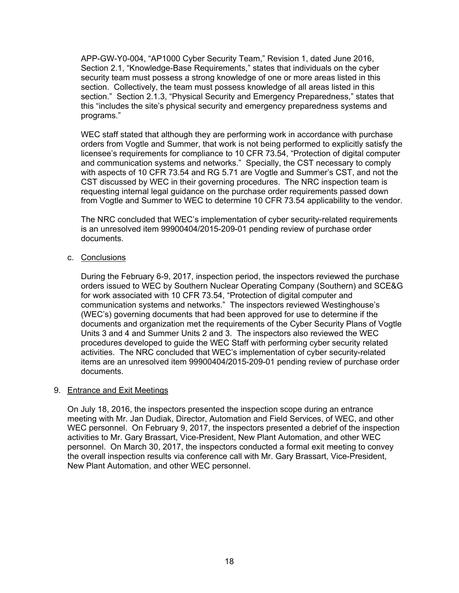APP-GW-Y0-004, "AP1000 Cyber Security Team," Revision 1, dated June 2016, Section 2.1, "Knowledge-Base Requirements," states that individuals on the cyber security team must possess a strong knowledge of one or more areas listed in this section. Collectively, the team must possess knowledge of all areas listed in this section." Section 2.1.3, "Physical Security and Emergency Preparedness," states that this "includes the site's physical security and emergency preparedness systems and programs."

WEC staff stated that although they are performing work in accordance with purchase orders from Vogtle and Summer, that work is not being performed to explicitly satisfy the licensee's requirements for compliance to 10 CFR 73.54, "Protection of digital computer and communication systems and networks." Specially, the CST necessary to comply with aspects of 10 CFR 73.54 and RG 5.71 are Vogtle and Summer's CST, and not the CST discussed by WEC in their governing procedures. The NRC inspection team is requesting internal legal guidance on the purchase order requirements passed down from Vogtle and Summer to WEC to determine 10 CFR 73.54 applicability to the vendor.

The NRC concluded that WEC's implementation of cyber security-related requirements is an unresolved item 99900404/2015-209-01 pending review of purchase order documents.

c. Conclusions

During the February 6-9, 2017, inspection period, the inspectors reviewed the purchase orders issued to WEC by Southern Nuclear Operating Company (Southern) and SCE&G for work associated with 10 CFR 73.54, "Protection of digital computer and communication systems and networks." The inspectors reviewed Westinghouse's (WEC's) governing documents that had been approved for use to determine if the documents and organization met the requirements of the Cyber Security Plans of Vogtle Units 3 and 4 and Summer Units 2 and 3. The inspectors also reviewed the WEC procedures developed to guide the WEC Staff with performing cyber security related activities. The NRC concluded that WEC's implementation of cyber security-related items are an unresolved item 99900404/2015-209-01 pending review of purchase order documents.

# 9. Entrance and Exit Meetings

On July 18, 2016, the inspectors presented the inspection scope during an entrance meeting with Mr. Jan Dudiak, Director, Automation and Field Services, of WEC, and other WEC personnel. On February 9, 2017, the inspectors presented a debrief of the inspection activities to Mr. Gary Brassart, Vice-President, New Plant Automation, and other WEC personnel. On March 30, 2017, the inspectors conducted a formal exit meeting to convey the overall inspection results via conference call with Mr. Gary Brassart, Vice-President, New Plant Automation, and other WEC personnel.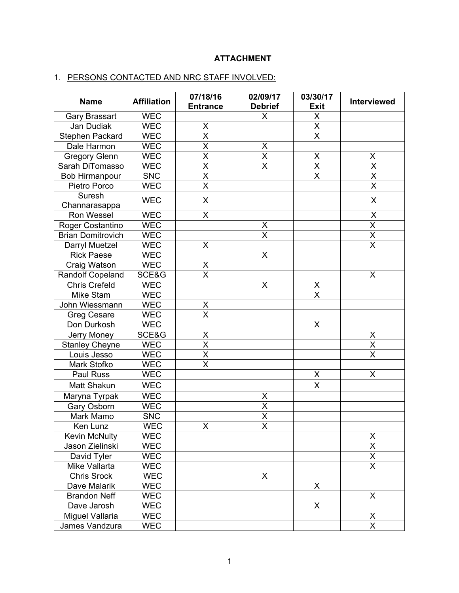# **ATTACHMENT**

# 1. PERSONS CONTACTED AND NRC STAFF INVOLVED:

| <b>Name</b>              | <b>Affiliation</b> | 07/18/16<br><b>Entrance</b> | 02/09/17<br><b>Debrief</b> | 03/30/17<br><b>Exit</b> | Interviewed             |
|--------------------------|--------------------|-----------------------------|----------------------------|-------------------------|-------------------------|
| Gary Brassart            | <b>WEC</b>         |                             | X                          | $\sf X$                 |                         |
| Jan Dudiak               | <b>WEC</b>         | X                           |                            | $\overline{\mathsf{X}}$ |                         |
| Stephen Packard          | <b>WEC</b>         | $\overline{\mathsf{x}}$     |                            | $\overline{\mathsf{x}}$ |                         |
| Dale Harmon              | <b>WEC</b>         | X                           |                            |                         |                         |
| <b>Gregory Glenn</b>     | <b>WEC</b>         | $\overline{\mathsf{x}}$     | $\frac{x}{x}$              | $\sf X$                 | X                       |
| Sarah DiTomasso          | WEC                | $\overline{\mathsf{x}}$     | $\overline{\mathsf{x}}$    | $\overline{\mathsf{X}}$ | $\overline{\mathsf{X}}$ |
| <b>Bob Hirmanpour</b>    | <b>SNC</b>         | $\overline{\mathsf{x}}$     |                            | $\overline{\mathsf{x}}$ | $\overline{\mathsf{x}}$ |
| Pietro Porco             | <b>WEC</b>         | $\overline{\mathsf{x}}$     |                            |                         | $\overline{\mathsf{x}}$ |
| Suresh                   | <b>WEC</b>         | X                           |                            |                         | X                       |
| Channarasappa            |                    |                             |                            |                         |                         |
| Ron Wessel               | <b>WEC</b>         | X                           |                            |                         | $\pmb{\mathsf{X}}$      |
| Roger Costantino         | <b>WEC</b>         |                             | X                          |                         | $\overline{\mathsf{x}}$ |
| <b>Brian Domitrovich</b> | <b>WEC</b>         |                             | $\overline{\mathsf{x}}$    |                         | $\overline{\mathsf{x}}$ |
| Darryl Muetzel           | <b>WEC</b>         | X                           |                            |                         | $\overline{\mathsf{x}}$ |
| <b>Rick Paese</b>        | <b>WEC</b>         |                             | $\sf X$                    |                         |                         |
| Craig Watson             | <b>WEC</b>         | X                           |                            |                         |                         |
| <b>Randolf Copeland</b>  | SCE&G              | $\overline{\mathsf{x}}$     |                            |                         | X                       |
| <b>Chris Crefeld</b>     | <b>WEC</b>         |                             | X                          | X                       |                         |
| Mike Stam                | <b>WEC</b>         |                             |                            | $\overline{\mathsf{x}}$ |                         |
| John Wiessmann           | <b>WEC</b>         | X                           |                            |                         |                         |
| Greg Cesare              | <b>WEC</b>         | $\overline{\mathsf{x}}$     |                            |                         |                         |
| Don Durkosh              | <b>WEC</b>         |                             |                            | X                       |                         |
| Jerry Money              | SCE&G              | $\frac{X}{X}$               |                            |                         | $\underline{X}$         |
| <b>Stanley Cheyne</b>    | <b>WEC</b>         |                             |                            |                         | $\overline{\mathsf{x}}$ |
| Louis Jesso              | <b>WEC</b>         | $\overline{\mathsf{x}}$     |                            |                         | $\overline{\mathsf{x}}$ |
| Mark Stofko              | <b>WEC</b>         | $\overline{\mathsf{x}}$     |                            |                         |                         |
| Paul Russ                | <b>WEC</b>         |                             |                            | X                       | X                       |
| Matt Shakun              | <b>WEC</b>         |                             |                            | X                       |                         |
| Maryna Tyrpak            | <b>WEC</b>         |                             | X                          |                         |                         |
| Gary Osborn              | <b>WEC</b>         |                             | $\overline{\mathsf{x}}$    |                         |                         |
| Mark Mamo                | <b>SNC</b>         |                             | $\overline{\mathsf{x}}$    |                         |                         |
| Ken Lunz                 | <b>WEC</b>         | X                           | $\overline{\mathsf{x}}$    |                         |                         |
| <b>Kevin McNulty</b>     | <b>WEC</b>         |                             |                            |                         | X                       |
| Jason Zielinski          | <b>WEC</b>         |                             |                            |                         | $\overline{\mathsf{x}}$ |
| David Tyler              | <b>WEC</b>         |                             |                            |                         | X                       |
| Mike Vallarta            | <b>WEC</b>         |                             |                            |                         | $\overline{\mathsf{x}}$ |
| <b>Chris Srock</b>       | <b>WEC</b>         |                             | X                          |                         |                         |
| Dave Malarik             | <b>WEC</b>         |                             |                            | X                       |                         |
| <b>Brandon Neff</b>      | <b>WEC</b>         |                             |                            |                         | Χ                       |
| Dave Jarosh              | <b>WEC</b>         |                             |                            | X                       |                         |
| Miguel Vallaria          | <b>WEC</b>         |                             |                            |                         | X                       |
| James Vandzura           | <b>WEC</b>         |                             |                            |                         | $\overline{\mathsf{x}}$ |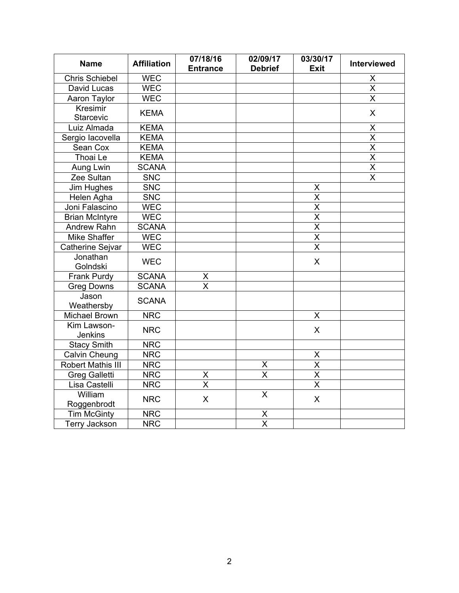| <b>Name</b>                  | <b>Affiliation</b> | 07/18/16<br><b>Entrance</b> | 02/09/17<br><b>Debrief</b> | 03/30/17<br><b>Exit</b>         | Interviewed             |
|------------------------------|--------------------|-----------------------------|----------------------------|---------------------------------|-------------------------|
| <b>Chris Schiebel</b>        | <b>WEC</b>         |                             |                            |                                 |                         |
| David Lucas                  | <b>WEC</b>         |                             |                            |                                 | $\frac{X}{X}$           |
| Aaron Taylor                 | <b>WEC</b>         |                             |                            |                                 | $\overline{\mathsf{x}}$ |
| <b>Kresimir</b><br>Starcevic | <b>KEMA</b>        |                             |                            |                                 | $\mathsf{X}$            |
| Luiz Almada                  | <b>KEMA</b>        |                             |                            |                                 | $\sf X$                 |
| Sergio lacovella             | <b>KEMA</b>        |                             |                            |                                 | $\overline{\mathsf{x}}$ |
| Sean Cox                     | <b>KEMA</b>        |                             |                            |                                 | $\overline{\mathsf{x}}$ |
| Thoai Le                     | <b>KEMA</b>        |                             |                            |                                 | $\overline{\mathsf{x}}$ |
| Aung Lwin                    | <b>SCANA</b>       |                             |                            |                                 | $\overline{\mathsf{X}}$ |
| Zee Sultan                   | <b>SNC</b>         |                             |                            |                                 | $\overline{\mathsf{x}}$ |
| Jim Hughes                   | <b>SNC</b>         |                             |                            | X                               |                         |
| Helen Agha                   | <b>SNC</b>         |                             |                            | $\overline{\mathsf{x}}$         |                         |
| Joni Falascino               | <b>WEC</b>         |                             |                            | $\overline{\mathsf{x}}$         |                         |
| <b>Brian McIntyre</b>        | <b>WEC</b>         |                             |                            | $\overline{\mathsf{x}}$         |                         |
| Andrew Rahn                  | <b>SCANA</b>       |                             |                            | $\overline{\mathsf{x}}$         |                         |
| <b>Mike Shaffer</b>          | <b>WEC</b>         |                             |                            | $\overline{\mathsf{x}}$         |                         |
| Catherine Sejvar             | <b>WEC</b>         |                             |                            | $\overline{\mathsf{x}}$         |                         |
| Jonathan<br>Golndski         | <b>WEC</b>         |                             |                            | X                               |                         |
| Frank Purdy                  | <b>SCANA</b>       |                             |                            |                                 |                         |
| <b>Greg Downs</b>            | <b>SCANA</b>       | $\frac{x}{x}$               |                            |                                 |                         |
| Jason<br>Weathersby          | <b>SCANA</b>       |                             |                            |                                 |                         |
| <b>Michael Brown</b>         | <b>NRC</b>         |                             |                            | X                               |                         |
| Kim Lawson-<br>Jenkins       | <b>NRC</b>         |                             |                            | X                               |                         |
| <b>Stacy Smith</b>           | <b>NRC</b>         |                             |                            |                                 |                         |
| Calvin Cheung                | <b>NRC</b>         |                             |                            |                                 |                         |
| Robert Mathis III            | <b>NRC</b>         |                             | X                          | $\frac{\mathsf{X}}{\mathsf{X}}$ |                         |
| <b>Greg Galletti</b>         | <b>NRC</b>         | $\frac{X}{X}$               | $\overline{\mathsf{x}}$    | $\overline{\mathsf{x}}$         |                         |
| Lisa Castelli                | <b>NRC</b>         |                             |                            | $\overline{\mathsf{x}}$         |                         |
| William<br>Roggenbrodt       | <b>NRC</b>         | X                           | $\overline{X}$             | X                               |                         |
| <b>Tim McGinty</b>           | <b>NRC</b>         |                             | X                          |                                 |                         |
| <b>Terry Jackson</b>         | <b>NRC</b>         |                             | $\overline{\mathsf{x}}$    |                                 |                         |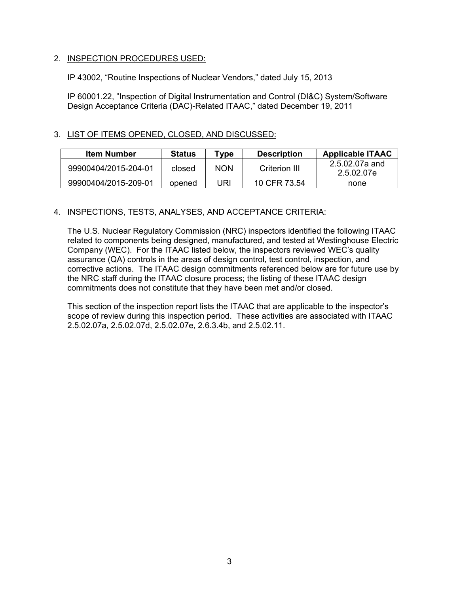# 2. INSPECTION PROCEDURES USED:

IP 43002, "Routine Inspections of Nuclear Vendors," dated July 15, 2013

IP 60001.22, "Inspection of Digital Instrumentation and Control (DI&C) System/Software Design Acceptance Criteria (DAC)-Related ITAAC," dated December 19, 2011

# 3. LIST OF ITEMS OPENED, CLOSED, AND DISCUSSED:

| <b>Item Number</b>   | <b>Status</b> | Tvpe       | <b>Description</b> | <b>Applicable ITAAC</b>      |
|----------------------|---------------|------------|--------------------|------------------------------|
| 99900404/2015-204-01 | closed        | <b>NON</b> | Criterion III      | 2.5.02.07a and<br>2.5.02.07e |
| 99900404/2015-209-01 | opened        | JRI        | 10 CFR 73.54       | none                         |

# 4. INSPECTIONS, TESTS, ANALYSES, AND ACCEPTANCE CRITERIA:

The U.S. Nuclear Regulatory Commission (NRC) inspectors identified the following ITAAC related to components being designed, manufactured, and tested at Westinghouse Electric Company (WEC). For the ITAAC listed below, the inspectors reviewed WEC's quality assurance (QA) controls in the areas of design control, test control, inspection, and corrective actions. The ITAAC design commitments referenced below are for future use by the NRC staff during the ITAAC closure process; the listing of these ITAAC design commitments does not constitute that they have been met and/or closed.

This section of the inspection report lists the ITAAC that are applicable to the inspector's scope of review during this inspection period. These activities are associated with ITAAC 2.5.02.07a, 2.5.02.07d, 2.5.02.07e, 2.6.3.4b, and 2.5.02.11.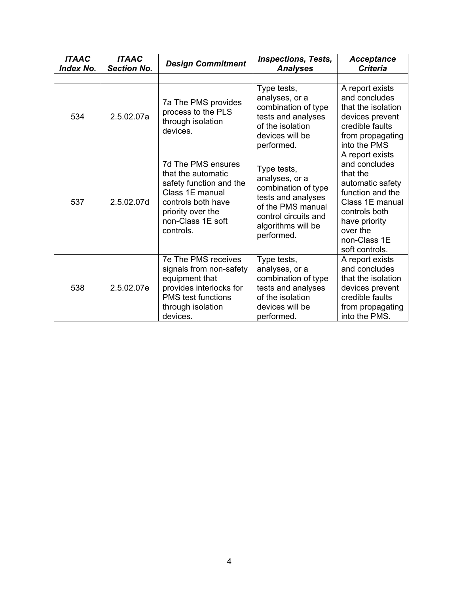| <b>ITAAC</b><br><b>Index No.</b> | <b>ITAAC</b><br><b>Section No.</b> | <b>Design Commitment</b>                                                                                                                                            | <b>Inspections, Tests,</b><br><b>Analyses</b>                                                                                                               | <b>Acceptance</b><br><b>Criteria</b>                                                                                                                                                    |
|----------------------------------|------------------------------------|---------------------------------------------------------------------------------------------------------------------------------------------------------------------|-------------------------------------------------------------------------------------------------------------------------------------------------------------|-----------------------------------------------------------------------------------------------------------------------------------------------------------------------------------------|
|                                  |                                    |                                                                                                                                                                     |                                                                                                                                                             |                                                                                                                                                                                         |
| 534                              | 2.5.02.07a                         | 7a The PMS provides<br>process to the PLS<br>through isolation<br>devices.                                                                                          | Type tests,<br>analyses, or a<br>combination of type<br>tests and analyses<br>of the isolation<br>devices will be<br>performed.                             | A report exists<br>and concludes<br>that the isolation<br>devices prevent<br>credible faults<br>from propagating<br>into the PMS                                                        |
| 537                              | 2.5.02.07d                         | 7d The PMS ensures<br>that the automatic<br>safety function and the<br>Class 1E manual<br>controls both have<br>priority over the<br>non-Class 1E soft<br>controls. | Type tests,<br>analyses, or a<br>combination of type<br>tests and analyses<br>of the PMS manual<br>control circuits and<br>algorithms will be<br>performed. | A report exists<br>and concludes<br>that the<br>automatic safety<br>function and the<br>Class 1E manual<br>controls both<br>have priority<br>over the<br>non-Class 1E<br>soft controls. |
| 538                              | 2.5.02.07e                         | 7e The PMS receives<br>signals from non-safety<br>equipment that<br>provides interlocks for<br><b>PMS</b> test functions<br>through isolation<br>devices.           | Type tests,<br>analyses, or a<br>combination of type<br>tests and analyses<br>of the isolation<br>devices will be<br>performed.                             | A report exists<br>and concludes<br>that the isolation<br>devices prevent<br>credible faults<br>from propagating<br>into the PMS.                                                       |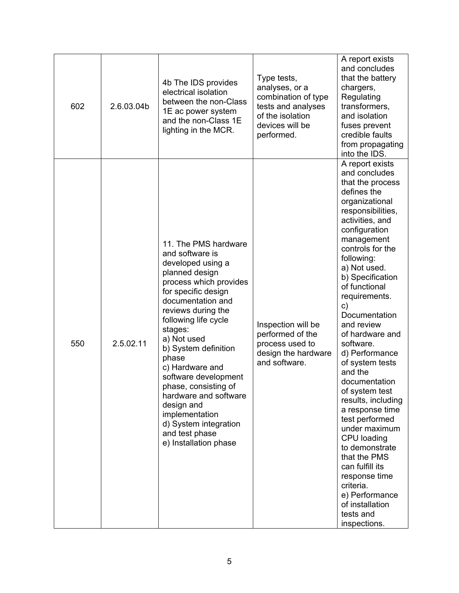| 602 | 2.6.03.04b | 4b The IDS provides<br>electrical isolation<br>between the non-Class<br>1E ac power system<br>and the non-Class 1E<br>lighting in the MCR.                                                                                                                                                                                                                                                                                                                    | Type tests,<br>analyses, or a<br>combination of type<br>tests and analyses<br>of the isolation<br>devices will be<br>performed. | A report exists<br>and concludes<br>that the battery<br>chargers,<br>Regulating<br>transformers,<br>and isolation<br>fuses prevent<br>credible faults<br>from propagating<br>into the IDS.                                                                                                                                                                                                                                                                                                                                                                                                                                                                                   |
|-----|------------|---------------------------------------------------------------------------------------------------------------------------------------------------------------------------------------------------------------------------------------------------------------------------------------------------------------------------------------------------------------------------------------------------------------------------------------------------------------|---------------------------------------------------------------------------------------------------------------------------------|------------------------------------------------------------------------------------------------------------------------------------------------------------------------------------------------------------------------------------------------------------------------------------------------------------------------------------------------------------------------------------------------------------------------------------------------------------------------------------------------------------------------------------------------------------------------------------------------------------------------------------------------------------------------------|
| 550 | 2.5.02.11  | 11. The PMS hardware<br>and software is<br>developed using a<br>planned design<br>process which provides<br>for specific design<br>documentation and<br>reviews during the<br>following life cycle<br>stages:<br>a) Not used<br>b) System definition<br>phase<br>c) Hardware and<br>software development<br>phase, consisting of<br>hardware and software<br>design and<br>implementation<br>d) System integration<br>and test phase<br>e) Installation phase | Inspection will be<br>performed of the<br>process used to<br>design the hardware<br>and software.                               | A report exists<br>and concludes<br>that the process<br>defines the<br>organizational<br>responsibilities,<br>activities, and<br>configuration<br>management<br>controls for the<br>following:<br>a) Not used.<br>b) Specification<br>of functional<br>requirements.<br>C)<br>Documentation<br>and review<br>of hardware and<br>software.<br>d) Performance<br>of system tests<br>and the<br>documentation<br>of system test<br>results, including<br>a response time<br>test performed<br>under maximum<br>CPU loading<br>to demonstrate<br>that the PMS<br>can fulfill its<br>response time<br>criteria.<br>e) Performance<br>of installation<br>tests and<br>inspections. |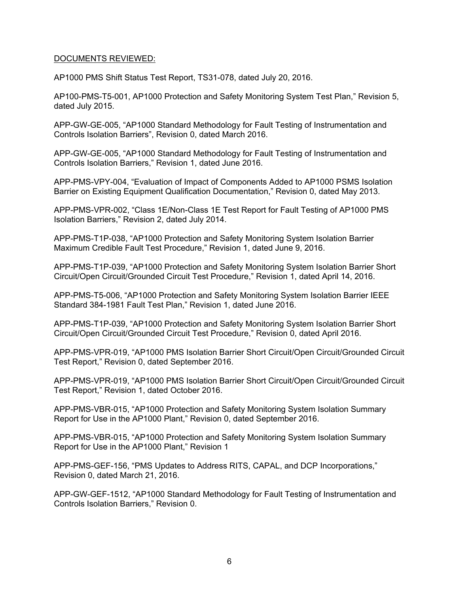# DOCUMENTS REVIEWED:

AP1000 PMS Shift Status Test Report, TS31-078, dated July 20, 2016.

AP100-PMS-T5-001, AP1000 Protection and Safety Monitoring System Test Plan," Revision 5, dated July 2015.

APP-GW-GE-005, "AP1000 Standard Methodology for Fault Testing of Instrumentation and Controls Isolation Barriers", Revision 0, dated March 2016.

APP-GW-GE-005, "AP1000 Standard Methodology for Fault Testing of Instrumentation and Controls Isolation Barriers," Revision 1, dated June 2016.

APP-PMS-VPY-004, "Evaluation of Impact of Components Added to AP1000 PSMS Isolation Barrier on Existing Equipment Qualification Documentation," Revision 0, dated May 2013.

APP-PMS-VPR-002, "Class 1E/Non-Class 1E Test Report for Fault Testing of AP1000 PMS Isolation Barriers," Revision 2, dated July 2014.

APP-PMS-T1P-038, "AP1000 Protection and Safety Monitoring System Isolation Barrier Maximum Credible Fault Test Procedure," Revision 1, dated June 9, 2016.

APP-PMS-T1P-039, "AP1000 Protection and Safety Monitoring System Isolation Barrier Short Circuit/Open Circuit/Grounded Circuit Test Procedure," Revision 1, dated April 14, 2016.

APP-PMS-T5-006, "AP1000 Protection and Safety Monitoring System Isolation Barrier IEEE Standard 384-1981 Fault Test Plan," Revision 1, dated June 2016.

APP-PMS-T1P-039, "AP1000 Protection and Safety Monitoring System Isolation Barrier Short Circuit/Open Circuit/Grounded Circuit Test Procedure," Revision 0, dated April 2016.

APP-PMS-VPR-019, "AP1000 PMS Isolation Barrier Short Circuit/Open Circuit/Grounded Circuit Test Report," Revision 0, dated September 2016.

APP-PMS-VPR-019, "AP1000 PMS Isolation Barrier Short Circuit/Open Circuit/Grounded Circuit Test Report," Revision 1, dated October 2016.

APP-PMS-VBR-015, "AP1000 Protection and Safety Monitoring System Isolation Summary Report for Use in the AP1000 Plant," Revision 0, dated September 2016.

APP-PMS-VBR-015, "AP1000 Protection and Safety Monitoring System Isolation Summary Report for Use in the AP1000 Plant," Revision 1

APP-PMS-GEF-156, "PMS Updates to Address RITS, CAPAL, and DCP Incorporations," Revision 0, dated March 21, 2016.

APP-GW-GEF-1512, "AP1000 Standard Methodology for Fault Testing of Instrumentation and Controls Isolation Barriers," Revision 0.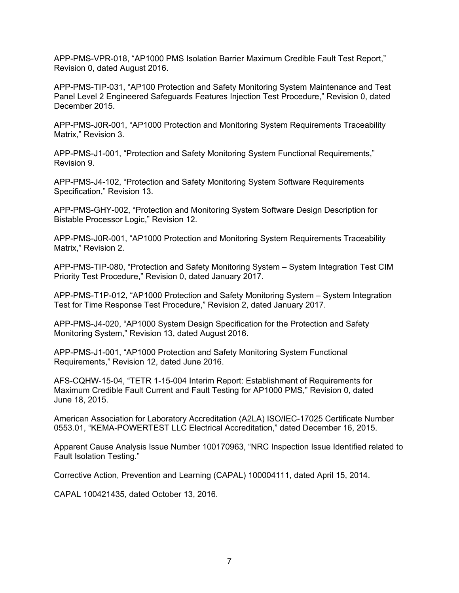APP-PMS-VPR-018, "AP1000 PMS Isolation Barrier Maximum Credible Fault Test Report," Revision 0, dated August 2016.

APP-PMS-TIP-031, "AP100 Protection and Safety Monitoring System Maintenance and Test Panel Level 2 Engineered Safeguards Features Injection Test Procedure," Revision 0, dated December 2015.

APP-PMS-J0R-001, "AP1000 Protection and Monitoring System Requirements Traceability Matrix," Revision 3.

APP-PMS-J1-001, "Protection and Safety Monitoring System Functional Requirements," Revision 9.

APP-PMS-J4-102, "Protection and Safety Monitoring System Software Requirements Specification," Revision 13.

APP-PMS-GHY-002, "Protection and Monitoring System Software Design Description for Bistable Processor Logic," Revision 12.

APP-PMS-J0R-001, "AP1000 Protection and Monitoring System Requirements Traceability Matrix," Revision 2.

APP-PMS-TIP-080, "Protection and Safety Monitoring System – System Integration Test CIM Priority Test Procedure," Revision 0, dated January 2017.

APP-PMS-T1P-012, "AP1000 Protection and Safety Monitoring System – System Integration Test for Time Response Test Procedure," Revision 2, dated January 2017.

APP-PMS-J4-020, "AP1000 System Design Specification for the Protection and Safety Monitoring System," Revision 13, dated August 2016.

APP-PMS-J1-001, "AP1000 Protection and Safety Monitoring System Functional Requirements," Revision 12, dated June 2016.

AFS-CQHW-15-04, "TETR 1-15-004 Interim Report: Establishment of Requirements for Maximum Credible Fault Current and Fault Testing for AP1000 PMS," Revision 0, dated June 18, 2015.

American Association for Laboratory Accreditation (A2LA) ISO/IEC-17025 Certificate Number 0553.01, "KEMA-POWERTEST LLC Electrical Accreditation," dated December 16, 2015.

Apparent Cause Analysis Issue Number 100170963, "NRC Inspection Issue Identified related to Fault Isolation Testing."

Corrective Action, Prevention and Learning (CAPAL) 100004111, dated April 15, 2014.

CAPAL 100421435, dated October 13, 2016.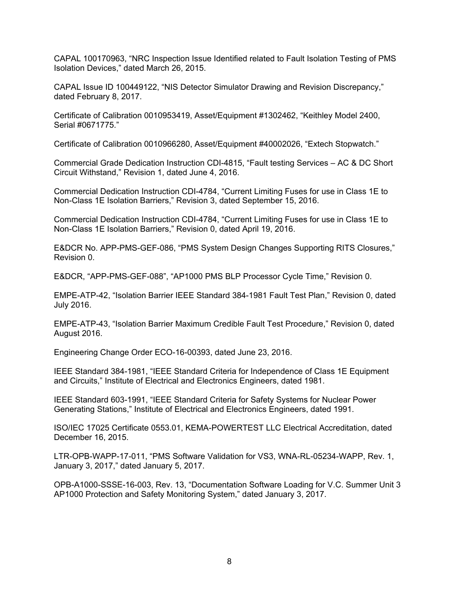CAPAL 100170963, "NRC Inspection Issue Identified related to Fault Isolation Testing of PMS Isolation Devices," dated March 26, 2015.

CAPAL Issue ID 100449122, "NIS Detector Simulator Drawing and Revision Discrepancy," dated February 8, 2017.

Certificate of Calibration 0010953419, Asset/Equipment #1302462, "Keithley Model 2400, Serial #0671775."

Certificate of Calibration 0010966280, Asset/Equipment #40002026, "Extech Stopwatch."

Commercial Grade Dedication Instruction CDI-4815, "Fault testing Services – AC & DC Short Circuit Withstand," Revision 1, dated June 4, 2016.

Commercial Dedication Instruction CDI-4784, "Current Limiting Fuses for use in Class 1E to Non-Class 1E Isolation Barriers," Revision 3, dated September 15, 2016.

Commercial Dedication Instruction CDI-4784, "Current Limiting Fuses for use in Class 1E to Non-Class 1E Isolation Barriers," Revision 0, dated April 19, 2016.

E&DCR No. APP-PMS-GEF-086, "PMS System Design Changes Supporting RITS Closures," Revision 0.

E&DCR, "APP-PMS-GEF-088", "AP1000 PMS BLP Processor Cycle Time," Revision 0.

EMPE-ATP-42, "Isolation Barrier IEEE Standard 384-1981 Fault Test Plan," Revision 0, dated July 2016.

EMPE-ATP-43, "Isolation Barrier Maximum Credible Fault Test Procedure," Revision 0, dated August 2016.

Engineering Change Order ECO-16-00393, dated June 23, 2016.

IEEE Standard 384-1981, "IEEE Standard Criteria for Independence of Class 1E Equipment and Circuits," Institute of Electrical and Electronics Engineers, dated 1981.

IEEE Standard 603-1991, "IEEE Standard Criteria for Safety Systems for Nuclear Power Generating Stations," Institute of Electrical and Electronics Engineers, dated 1991.

ISO/IEC 17025 Certificate 0553.01, KEMA-POWERTEST LLC Electrical Accreditation, dated December 16, 2015.

LTR-OPB-WAPP-17-011, "PMS Software Validation for VS3, WNA-RL-05234-WAPP, Rev. 1, January 3, 2017," dated January 5, 2017.

OPB-A1000-SSSE-16-003, Rev. 13, "Documentation Software Loading for V.C. Summer Unit 3 AP1000 Protection and Safety Monitoring System," dated January 3, 2017.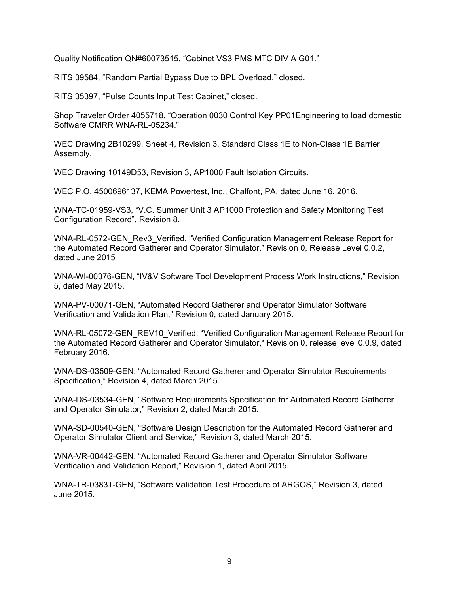Quality Notification QN#60073515, "Cabinet VS3 PMS MTC DIV A G01."

RITS 39584, "Random Partial Bypass Due to BPL Overload," closed.

RITS 35397, "Pulse Counts Input Test Cabinet," closed.

Shop Traveler Order 4055718, "Operation 0030 Control Key PP01Engineering to load domestic Software CMRR WNA-RL-05234."

WEC Drawing 2B10299, Sheet 4, Revision 3, Standard Class 1E to Non-Class 1E Barrier Assembly.

WEC Drawing 10149D53, Revision 3, AP1000 Fault Isolation Circuits.

WEC P.O. 4500696137, KEMA Powertest, Inc., Chalfont, PA, dated June 16, 2016.

WNA-TC-01959-VS3, "V.C. Summer Unit 3 AP1000 Protection and Safety Monitoring Test Configuration Record", Revision 8.

WNA-RL-0572-GEN\_Rev3\_Verified, "Verified Configuration Management Release Report for the Automated Record Gatherer and Operator Simulator," Revision 0, Release Level 0.0.2, dated June 2015

WNA-WI-00376-GEN, "IV&V Software Tool Development Process Work Instructions," Revision 5, dated May 2015.

WNA-PV-00071-GEN, "Automated Record Gatherer and Operator Simulator Software Verification and Validation Plan," Revision 0, dated January 2015.

WNA-RL-05072-GEN\_REV10\_Verified, "Verified Configuration Management Release Report for the Automated Record Gatherer and Operator Simulator," Revision 0, release level 0.0.9, dated February 2016.

WNA-DS-03509-GEN, "Automated Record Gatherer and Operator Simulator Requirements Specification," Revision 4, dated March 2015.

WNA-DS-03534-GEN, "Software Requirements Specification for Automated Record Gatherer and Operator Simulator," Revision 2, dated March 2015.

WNA-SD-00540-GEN, "Software Design Description for the Automated Record Gatherer and Operator Simulator Client and Service," Revision 3, dated March 2015.

WNA-VR-00442-GEN, "Automated Record Gatherer and Operator Simulator Software Verification and Validation Report," Revision 1, dated April 2015.

WNA-TR-03831-GEN, "Software Validation Test Procedure of ARGOS," Revision 3, dated June 2015.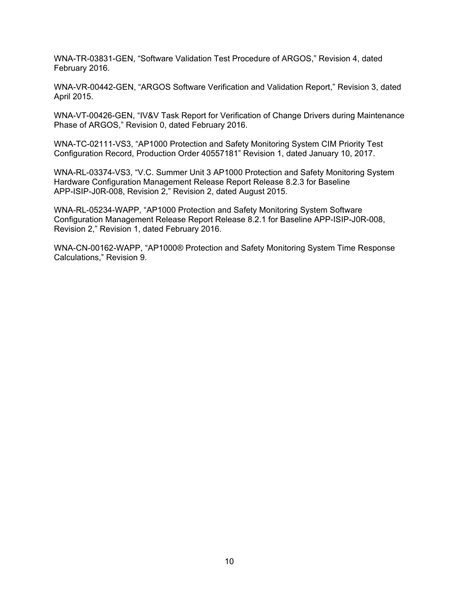WNA-TR-03831-GEN, "Software Validation Test Procedure of ARGOS," Revision 4, dated February 2016.

WNA-VR-00442-GEN, "ARGOS Software Verification and Validation Report," Revision 3, dated April 2015.

WNA-VT-00426-GEN, "IV&V Task Report for Verification of Change Drivers during Maintenance Phase of ARGOS," Revision 0, dated February 2016.

WNA-TC-02111-VS3, "AP1000 Protection and Safety Monitoring System CIM Priority Test Configuration Record, Production Order 40557181" Revision 1, dated January 10, 2017.

WNA-RL-03374-VS3, "V.C. Summer Unit 3 AP1000 Protection and Safety Monitoring System Hardware Configuration Management Release Report Release 8.2.3 for Baseline APP-ISIP-J0R-008, Revision 2," Revision 2, dated August 2015.

WNA-RL-05234-WAPP, "AP1000 Protection and Safety Monitoring System Software Configuration Management Release Report Release 8.2.1 for Baseline APP-ISIP-J0R-008, Revision 2," Revision 1, dated February 2016.

WNA-CN-00162-WAPP, "AP1000® Protection and Safety Monitoring System Time Response Calculations," Revision 9.